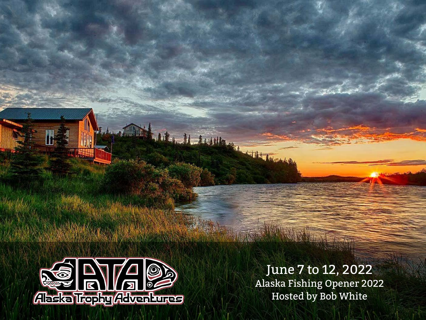

## June 7 to 12, 2022

Alaska Fishing Opener 2022 Hosted by Bob White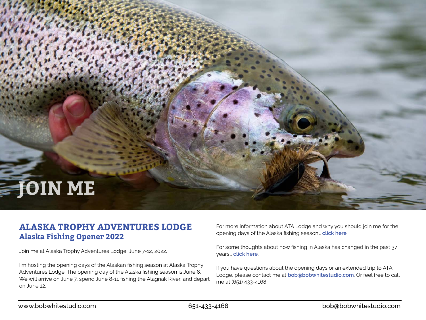# **JOIN ME**

### **ALASKA TROPHY ADVENTURES LODGE Alaska Fishing Opener 2022**

Join me at Alaska Trophy Adventures Lodge, June 7-12, 2022.

I'm hosting the opening days of the Alaskan fishing season at Alaska Trophy Adventures Lodge. The opening day of the Alaska fishing season is June 8. We will arrive on June 7, spend June 8-11 fishing the Alagnak River, and depart on June 12.

For more information about ATA Lodge and why you should join me for the opening days of the Alaska fishing season… **[click here](https://www.bobwhitestudio.com/2021/09/alaska-trophy-adventures-lodge/)**.

For some thoughts about how fishing in Alaska has changed in the past 37 years… **[click here](https://www.bobwhitestudio.com/2018/11/fishing-in-alaska-whats-changed-over-the-past-35-years/)**.

If you have questions about the opening days or an extended trip to ATA Lodge, please contact me at **[bob@bobwhitestudio.com](mailto:bob%40bobwhitestudio.com?subject=ATA%20Lodge%202022)**. Or feel free to call me at (651) 433-4168.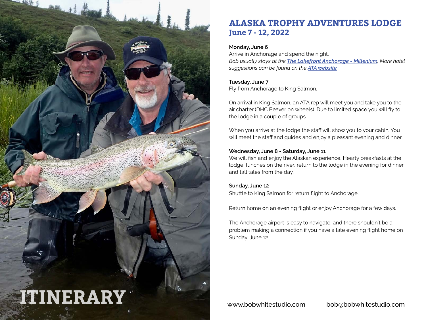

## **ALASKA TROPHY ADVENTURES LODGE June 7 - 12, 2022**

#### **Monday, June 6**

Arrive in Anchorage and spend the night. *Bob usually stays at the [The Lakefront Anchorage - Millenium](https://www.millenniumhotels.com/en/anchorage/the-lakefront-anchorage/). More hotel suggestions can be found on the [ATA website](https://www.atalodge.com/pages/faqs).*

#### **Tuesday, June 7**

Fly from Anchorage to King Salmon.

On arrival in King Salmon, an ATA rep will meet you and take you to the air charter (DHC Beaver on wheels). Due to limited space you will fly to the lodge in a couple of groups.

When you arrive at the lodge the staff will show you to your cabin. You will meet the staff and guides and enjoy a pleasant evening and dinner.

#### **Wednesday, June 8 - Saturday, June 11**

We will fish and enjoy the Alaskan experience. Hearty breakfasts at the lodge, lunches on the river, return to the lodge in the evening for dinner and tall tales from the day.

#### **Sunday, June 12**

Shuttle to King Salmon for return flight to Anchorage.

Return home on an evening flight or enjoy Anchorage for a few days.

The Anchorage airport is easy to navigate, and there shouldn't be a problem making a connection if you have a late evening flight home on Sunday, June 12.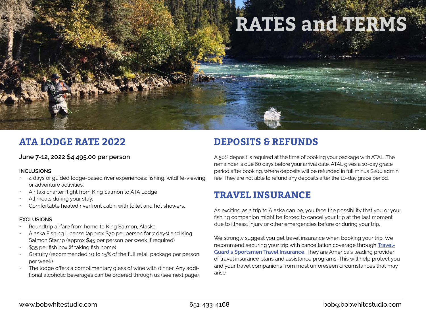

## **ATA LODGE RATE 2022**

#### **June 7-12, 2022 \$4,495.00 per person**

#### **INCLUSIONS**

- 4 days of guided lodge-based river experiences: fishing, wildlife-viewing, or adventure activities.
- Air taxi charter flight from King Salmon to ATA Lodge
- All meals during your stay.
- Comfortable heated riverfront cabin with toilet and hot showers.

#### **EXCLUSIONS**

- Roundtrip airfare from home to King Salmon, Alaska
- Alaska Fishing License (approx \$70 per person for 7 days) and King Salmon Stamp (approx \$45 per person per week if required)
- \$35 per fish box (if taking fish home)
- Gratuity (recommended 10 to 15% of the full retail package per person per week)
- The lodge offers a complimentary glass of wine with dinner. Any additional alcoholic beverages can be ordered through us (see next page).

## **DEPOSITS & REFUNDS**

A 50% deposit is required at the time of booking your package with ATAL. The remainder is due 60 days before your arrival date. ATAL gives a 10-day grace period after booking, where deposits will be refunded in full minus \$200 admin fee. They are not able to refund any deposits after the 10-day grace period.

## **TRAVEL INSURANCE**

As exciting as a trip to Alaska can be, you face the possibility that you or your fishing companion might be forced to cancel your trip at the last moment due to illness, injury or other emergencies before or during your trip.

We strongly suggest you get travel insurance when booking your trip. We recommend securing your trip with cancellation coverage through **[Travel-](https://www.travelguard.com/sportsmans)[Guard's Sportsmen Travel Insurance](https://www.travelguard.com/sportsmans)**. They are America's leading provider of travel insurance plans and assistance programs. This will help protect you and your travel companions from most unforeseen circumstances that may arise.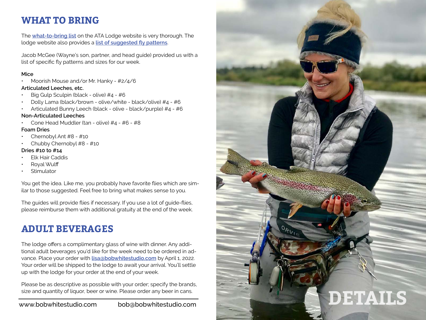## **WHAT TO BRING**

The **[what-to-bring list](https://www.atalodge.com/pages/what-to-bring)** on the ATA Lodge website is very thorough. The lodge website also provides a **[list of suggested fly patterns](https://www.atalodge.com/pages/fly-patterns-2)**.

Jacob McGee (Wayne's son, partner, and head guide) provided us with a list of specific fly patterns and sizes for our week.

#### **Mice**

• Moorish Mouse and/or Mr. Hanky - #2/4/6

#### **Articulated Leeches, etc.**

- Big Gulp Sculpin (black olive) #4 #6
- Dolly Lama (black/brown olive/white black/olive) #4 #6
- Articulated Bunny Leech (black olive black/purple) #4 #6

#### **Non-Articulated Leeches**

• Cone Head Muddler (tan - olive) #4 - #6 - #8

#### **Foam Dries**

- Chernobyl Ant #8 #10
- Chubby Chernobyl #8 #10

#### **Dries #10 to #14**

- **Elk Hair Caddis**
- Royal Wulff
- **Stimulator**

You get the idea. Like me, you probably have favorite flies which are similar to those suggested. Feel free to bring what makes sense to you.

The guides will provide flies if necessary. If you use a lot of guide-flies, please reimburse them with additional gratuity at the end of the week.

## **ADULT BEVERAGES**

The lodge offers a complimentary glass of wine with dinner. Any additional adult beverages you'd like for the week need to be ordered in advance. Place your order with **[lisa@bobwhitestudio.com](mailto:lisa%40bobwhitestudio.com?subject=ATA%20Liquor%20Order)** by April 1, 2022. Your order will be shipped to the lodge to await your arrival. You'll settle up with the lodge for your order at the end of your week.

Please be as descriptive as possible with your order; specify the brands, size and quantity of liquor, beer or wine. Please order any beer in cans.